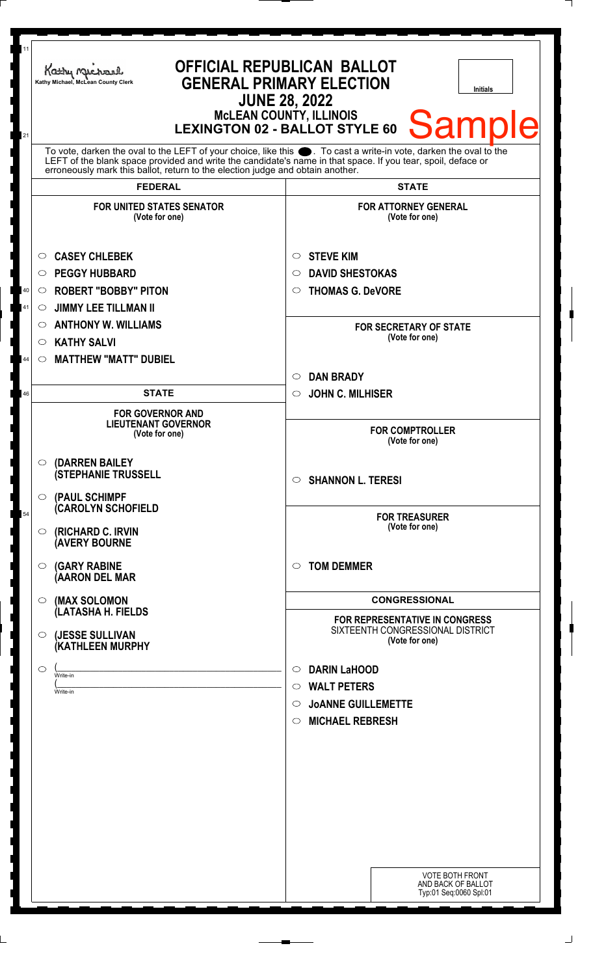| 11<br>21 | Kathy Michael<br>Kathy Michael, McLean County Clerk                                                                                                                                                                                                                                                                 | <b>OFFICIAL REPUBLICAN BALLOT</b><br><b>GENERAL PRIMARY ELECTION</b><br><b>Initials</b><br><b>JUNE 28, 2022</b><br><b>McLEAN COUNTY, ILLINOIS</b><br><b>Sample</b><br><b>LEXINGTON 02 - BALLOT STYLE 60</b> |
|----------|---------------------------------------------------------------------------------------------------------------------------------------------------------------------------------------------------------------------------------------------------------------------------------------------------------------------|-------------------------------------------------------------------------------------------------------------------------------------------------------------------------------------------------------------|
|          | To vote, darken the oval to the LEFT of your choice, like this ●. To cast a write-in vote, darken the oval to the<br>LEFT of the blank space provided and write the candidate's name in that space. If you tear, spoil, deface or<br>erroneously mark this ballot, return to the election judge and obtain another. |                                                                                                                                                                                                             |
|          | <b>FEDERAL</b>                                                                                                                                                                                                                                                                                                      | <b>STATE</b>                                                                                                                                                                                                |
|          | <b>FOR UNITED STATES SENATOR</b><br>(Vote for one)                                                                                                                                                                                                                                                                  | <b>FOR ATTORNEY GENERAL</b><br>(Vote for one)                                                                                                                                                               |
|          | <b>CASEY CHLEBEK</b><br>$\circ$                                                                                                                                                                                                                                                                                     | <b>STEVE KIM</b><br>$\circ$                                                                                                                                                                                 |
|          | <b>PEGGY HUBBARD</b><br>$\circ$                                                                                                                                                                                                                                                                                     | <b>DAVID SHESTOKAS</b><br>$\circ$                                                                                                                                                                           |
| $40\,$   | <b>ROBERT "BOBBY" PITON</b><br>$\circ$                                                                                                                                                                                                                                                                              | <b>THOMAS G. DeVORE</b><br>$\circ$                                                                                                                                                                          |
| 41       | <b>JIMMY LEE TILLMAN II</b><br>O                                                                                                                                                                                                                                                                                    |                                                                                                                                                                                                             |
|          | <b>ANTHONY W. WILLIAMS</b><br>O                                                                                                                                                                                                                                                                                     | <b>FOR SECRETARY OF STATE</b>                                                                                                                                                                               |
|          | <b>KATHY SALVI</b><br>$\circ$                                                                                                                                                                                                                                                                                       | (Vote for one)                                                                                                                                                                                              |
| 44       | <b>MATTHEW "MATT" DUBIEL</b><br>$\circ$                                                                                                                                                                                                                                                                             |                                                                                                                                                                                                             |
|          |                                                                                                                                                                                                                                                                                                                     | <b>DAN BRADY</b><br>$\circlearrowright$                                                                                                                                                                     |
| 46       | <b>STATE</b>                                                                                                                                                                                                                                                                                                        | <b>JOHN C. MILHISER</b><br>$\circ$                                                                                                                                                                          |
|          | <b>FOR GOVERNOR AND</b><br><b>LIEUTENANT GOVERNOR</b><br>(Vote for one)                                                                                                                                                                                                                                             | <b>FOR COMPTROLLER</b><br>(Vote for one)                                                                                                                                                                    |
|          | (DARREN BAILEY<br>$\circ$<br><b>(STEPHANIE TRUSSELL</b><br>(PAUL SCHIMPF<br>$\bigcirc$                                                                                                                                                                                                                              | $\circ$ SHANNON L. TERESI                                                                                                                                                                                   |
| 54       | <b>CAROLYN SCHOFIELD</b>                                                                                                                                                                                                                                                                                            |                                                                                                                                                                                                             |
|          | (RICHARD C. IRVIN<br>$\circ$<br><b>(AVERY BOURNE</b>                                                                                                                                                                                                                                                                | <b>FOR TREASURER</b><br>(Vote for one)                                                                                                                                                                      |
|          | <b>(GARY RABINE</b><br>$\circ$<br>(AARON DEL MAR                                                                                                                                                                                                                                                                    | <b>TOM DEMMER</b><br>$\circ$                                                                                                                                                                                |
|          | (MAX SOLOMON<br>$\circ$<br>(LATASHA H. FIELDS                                                                                                                                                                                                                                                                       | <b>CONGRESSIONAL</b>                                                                                                                                                                                        |
|          | (JESSE SULLIVAN<br>$\circ$<br>(KATHLEEN MURPHY                                                                                                                                                                                                                                                                      | FOR REPRESENTATIVE IN CONGRESS<br>SIXTEENTH CONGRESSIONAL DISTRICT<br>(Vote for one)                                                                                                                        |
|          | O<br>Write-in                                                                                                                                                                                                                                                                                                       | <b>DARIN LaHOOD</b><br>$\circ$                                                                                                                                                                              |
|          | Write-in                                                                                                                                                                                                                                                                                                            | <b>WALT PETERS</b><br>$\circ$                                                                                                                                                                               |
|          |                                                                                                                                                                                                                                                                                                                     | <b>JOANNE GUILLEMETTE</b><br>O                                                                                                                                                                              |
|          |                                                                                                                                                                                                                                                                                                                     | <b>MICHAEL REBRESH</b><br>$\circ$                                                                                                                                                                           |
|          |                                                                                                                                                                                                                                                                                                                     |                                                                                                                                                                                                             |
|          |                                                                                                                                                                                                                                                                                                                     |                                                                                                                                                                                                             |
|          |                                                                                                                                                                                                                                                                                                                     |                                                                                                                                                                                                             |
|          |                                                                                                                                                                                                                                                                                                                     |                                                                                                                                                                                                             |
|          |                                                                                                                                                                                                                                                                                                                     |                                                                                                                                                                                                             |
|          |                                                                                                                                                                                                                                                                                                                     |                                                                                                                                                                                                             |
|          |                                                                                                                                                                                                                                                                                                                     |                                                                                                                                                                                                             |
|          |                                                                                                                                                                                                                                                                                                                     |                                                                                                                                                                                                             |
|          |                                                                                                                                                                                                                                                                                                                     | <b>VOTE BOTH FRONT</b><br>AND BACK OF BALLOT<br>Typ:01 Seq:0060 Spl:01                                                                                                                                      |
|          |                                                                                                                                                                                                                                                                                                                     |                                                                                                                                                                                                             |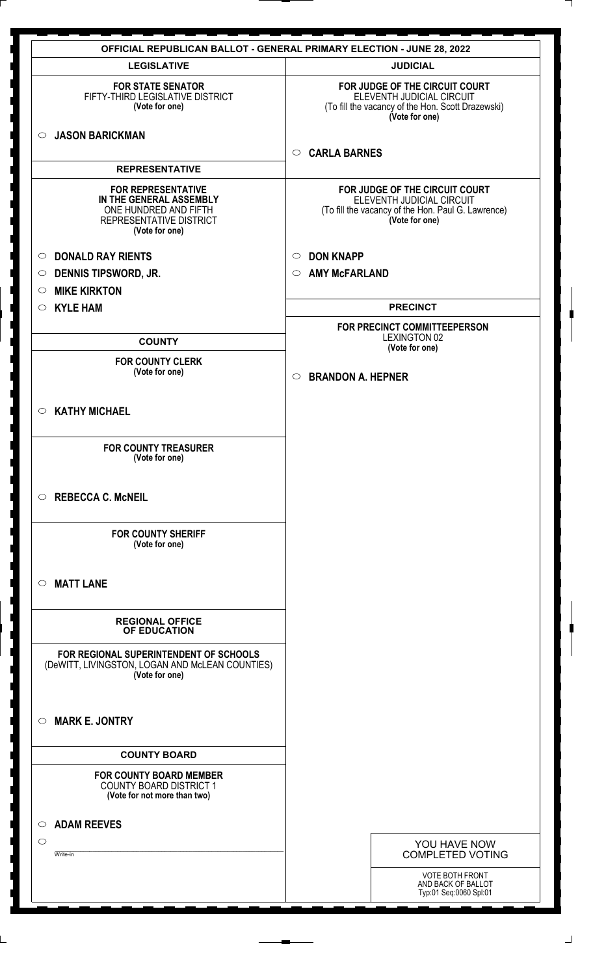|                                                                                                                            | <b>OFFICIAL REPUBLICAN BALLOT - GENERAL PRIMARY ELECTION - JUNE 28, 2022</b>                                                        |
|----------------------------------------------------------------------------------------------------------------------------|-------------------------------------------------------------------------------------------------------------------------------------|
| <b>LEGISLATIVE</b>                                                                                                         | <b>JUDICIAL</b>                                                                                                                     |
| <b>FOR STATE SENATOR</b><br>FIFTY-THIRD LEGISLATIVE DISTRICT<br>(Vote for one)                                             | FOR JUDGE OF THE CIRCUIT COURT<br>ELEVENTH JUDICIAL CIRCUIT<br>(To fill the vacancy of the Hon. Scott Drazewski)<br>(Vote for one)  |
| <b>JASON BARICKMAN</b><br>$\circ$                                                                                          | <b>CARLA BARNES</b><br>$\circ$                                                                                                      |
| <b>REPRESENTATIVE</b>                                                                                                      |                                                                                                                                     |
| <b>FOR REPRESENTATIVE</b><br>IN THE GENERAL ASSEMBLY<br>ONE HUNDRED AND FIFTH<br>REPRESENTATIVE DISTRICT<br>(Vote for one) | FOR JUDGE OF THE CIRCUIT COURT<br>ELEVENTH JUDICIAL CIRCUIT<br>(To fill the vacancy of the Hon. Paul G. Lawrence)<br>(Vote for one) |
| <b>DONALD RAY RIENTS</b><br>$\circ$                                                                                        | <b>DON KNAPP</b><br>$\circ$                                                                                                         |
| <b>DENNIS TIPSWORD, JR.</b><br>$\circ$                                                                                     | <b>AMY McFARLAND</b><br>$\circ$                                                                                                     |
| <b>MIKE KIRKTON</b><br>$\circ$                                                                                             |                                                                                                                                     |
| <b>KYLE HAM</b><br>$\circ$                                                                                                 | <b>PRECINCT</b>                                                                                                                     |
| <b>COUNTY</b>                                                                                                              | FOR PRECINCT COMMITTEEPERSON<br><b>LEXINGTON 02</b>                                                                                 |
| <b>FOR COUNTY CLERK</b>                                                                                                    | (Vote for one)                                                                                                                      |
| (Vote for one)                                                                                                             | <b>BRANDON A. HEPNER</b><br>$\circ$                                                                                                 |
| <b>KATHY MICHAEL</b><br>$\circ$                                                                                            |                                                                                                                                     |
| <b>FOR COUNTY TREASURER</b><br>(Vote for one)                                                                              |                                                                                                                                     |
| <b>REBECCA C. McNEIL</b><br>$\circ$                                                                                        |                                                                                                                                     |
| <b>FOR COUNTY SHERIFF</b><br>(Vote for one)                                                                                |                                                                                                                                     |
| <b>MATT LANE</b><br>$\circ$                                                                                                |                                                                                                                                     |
| <b>REGIONAL OFFICE</b><br>OF EDUCATION                                                                                     |                                                                                                                                     |
| FOR REGIONAL SUPERINTENDENT OF SCHOOLS<br>(DeWITT, LIVINGSTON, LOGAN AND McLEAN COUNTIES)<br>(Vote for one)                |                                                                                                                                     |
| <b>MARK E. JONTRY</b><br>$\circ$                                                                                           |                                                                                                                                     |
| <b>COUNTY BOARD</b>                                                                                                        |                                                                                                                                     |
| <b>FOR COUNTY BOARD MEMBER</b><br><b>COUNTY BOARD DISTRICT 1</b><br>(Vote for not more than two)                           |                                                                                                                                     |
| <b>ADAM REEVES</b><br>O                                                                                                    |                                                                                                                                     |
| $\circlearrowright$                                                                                                        | YOU HAVE NOW                                                                                                                        |
| Write-in                                                                                                                   | <b>COMPLETED VOTING</b>                                                                                                             |
|                                                                                                                            | <b>VOTE BOTH FRONT</b><br>AND BACK OF BALLOT<br>Typ:01 Seq:0060 Spl:01                                                              |

 $\perp$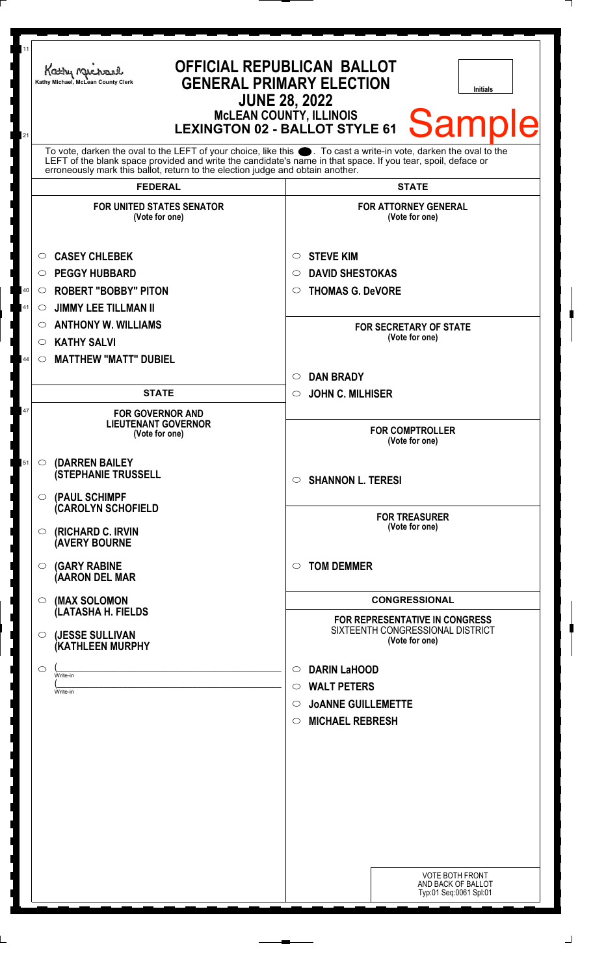| <b>McLEAN COUNTY, ILLINOIS</b><br><b>LEXINGTON 02 - BALLOT STYLE 61</b><br>21<br>To vote, darken the oval to the LEFT of your choice, like this ●. To cast a write-in vote, darken the oval to the<br>LEFT of the blank space provided and write the candidate's name in that space. If you tear, spoil, deface or<br>erroneously mark this ballot, return to the election judge and obtain another.<br><b>FEDERAL</b><br><b>STATE</b><br><b>FOR UNITED STATES SENATOR</b><br><b>FOR ATTORNEY GENERAL</b><br>(Vote for one)<br>(Vote for one)<br><b>CASEY CHLEBEK</b><br><b>STEVE KIM</b><br>$\circ$<br>$\circ$<br><b>PEGGY HUBBARD</b><br><b>DAVID SHESTOKAS</b><br>$\circ$<br>$\circ$<br><b>ROBERT "BOBBY" PITON</b><br><b>THOMAS G. DeVORE</b><br>40<br>$\circ$<br>$\circ$<br><b>JIMMY LEE TILLMAN II</b><br>41<br>$\circ$<br><b>ANTHONY W. WILLIAMS</b><br>$\circ$<br><b>FOR SECRETARY OF STATE</b><br>(Vote for one)<br><b>KATHY SALVI</b><br>O<br><b>MATTHEW "MATT" DUBIEL</b><br>44<br>$\circ$<br><b>DAN BRADY</b><br>$\circ$<br><b>STATE</b><br><b>JOHN C. MILHISER</b><br>$\circ$<br>47<br><b>FOR GOVERNOR AND</b><br><b>LIEUTENANT GOVERNOR</b><br><b>FOR COMPTROLLER</b><br>(Vote for one)<br>(Vote for one)<br>(DARREN BAILEY<br>51<br>$\circ$<br><b>(STEPHANIE TRUSSELL</b><br><b>SHANNON L. TERESI</b><br>$\circ$<br>$\circ$ (PAUL SCHIMPF<br><b>CAROLYN SCHOFIELD</b><br><b>FOR TREASURER</b><br>(Vote for one)<br>(RICHARD C. IRVIN<br>$\circ$<br><b>(AVERY BOURNE</b><br><b>(GARY RABINE</b><br><b>TOM DEMMER</b><br>$\bigcirc$<br>$\circ$<br>(AARON DEL MAR<br><b>CONGRESSIONAL</b><br>(MAX SOLOMON<br>$\circ$<br>(LATASHA H. FIELDS<br>FOR REPRESENTATIVE IN CONGRESS<br>SIXTEENTH CONGRESSIONAL DISTRICT<br>(JESSE SULLIVAN<br>$\circ$<br>(Vote for one)<br>(KATHLEEN MURPHY<br><b>DARIN LaHOOD</b><br>$\circ$<br>$\circ$<br>Write-in<br><b>WALT PETERS</b><br>$\circ$<br>Write-in<br><b>JOANNE GUILLEMETTE</b><br>$\circ$<br><b>MICHAEL REBRESH</b><br>$\circ$ | 11 | Kathy Michael<br>Kathy Michael, McLean County Clerk | <b>OFFICIAL REPUBLICAN BALLOT</b><br><b>GENERAL PRIMARY ELECTION</b><br><b>Initials</b><br><b>JUNE 28, 2022</b> |
|-------------------------------------------------------------------------------------------------------------------------------------------------------------------------------------------------------------------------------------------------------------------------------------------------------------------------------------------------------------------------------------------------------------------------------------------------------------------------------------------------------------------------------------------------------------------------------------------------------------------------------------------------------------------------------------------------------------------------------------------------------------------------------------------------------------------------------------------------------------------------------------------------------------------------------------------------------------------------------------------------------------------------------------------------------------------------------------------------------------------------------------------------------------------------------------------------------------------------------------------------------------------------------------------------------------------------------------------------------------------------------------------------------------------------------------------------------------------------------------------------------------------------------------------------------------------------------------------------------------------------------------------------------------------------------------------------------------------------------------------------------------------------------------------------------------------------------------------------------------------------------------------------------------------------------------------------------------------------------------|----|-----------------------------------------------------|-----------------------------------------------------------------------------------------------------------------|
|                                                                                                                                                                                                                                                                                                                                                                                                                                                                                                                                                                                                                                                                                                                                                                                                                                                                                                                                                                                                                                                                                                                                                                                                                                                                                                                                                                                                                                                                                                                                                                                                                                                                                                                                                                                                                                                                                                                                                                                     |    |                                                     | <b>Sample</b>                                                                                                   |
|                                                                                                                                                                                                                                                                                                                                                                                                                                                                                                                                                                                                                                                                                                                                                                                                                                                                                                                                                                                                                                                                                                                                                                                                                                                                                                                                                                                                                                                                                                                                                                                                                                                                                                                                                                                                                                                                                                                                                                                     |    |                                                     |                                                                                                                 |
|                                                                                                                                                                                                                                                                                                                                                                                                                                                                                                                                                                                                                                                                                                                                                                                                                                                                                                                                                                                                                                                                                                                                                                                                                                                                                                                                                                                                                                                                                                                                                                                                                                                                                                                                                                                                                                                                                                                                                                                     |    |                                                     |                                                                                                                 |
|                                                                                                                                                                                                                                                                                                                                                                                                                                                                                                                                                                                                                                                                                                                                                                                                                                                                                                                                                                                                                                                                                                                                                                                                                                                                                                                                                                                                                                                                                                                                                                                                                                                                                                                                                                                                                                                                                                                                                                                     |    |                                                     |                                                                                                                 |
|                                                                                                                                                                                                                                                                                                                                                                                                                                                                                                                                                                                                                                                                                                                                                                                                                                                                                                                                                                                                                                                                                                                                                                                                                                                                                                                                                                                                                                                                                                                                                                                                                                                                                                                                                                                                                                                                                                                                                                                     |    |                                                     |                                                                                                                 |
|                                                                                                                                                                                                                                                                                                                                                                                                                                                                                                                                                                                                                                                                                                                                                                                                                                                                                                                                                                                                                                                                                                                                                                                                                                                                                                                                                                                                                                                                                                                                                                                                                                                                                                                                                                                                                                                                                                                                                                                     |    |                                                     |                                                                                                                 |
|                                                                                                                                                                                                                                                                                                                                                                                                                                                                                                                                                                                                                                                                                                                                                                                                                                                                                                                                                                                                                                                                                                                                                                                                                                                                                                                                                                                                                                                                                                                                                                                                                                                                                                                                                                                                                                                                                                                                                                                     |    |                                                     |                                                                                                                 |
|                                                                                                                                                                                                                                                                                                                                                                                                                                                                                                                                                                                                                                                                                                                                                                                                                                                                                                                                                                                                                                                                                                                                                                                                                                                                                                                                                                                                                                                                                                                                                                                                                                                                                                                                                                                                                                                                                                                                                                                     |    |                                                     |                                                                                                                 |
|                                                                                                                                                                                                                                                                                                                                                                                                                                                                                                                                                                                                                                                                                                                                                                                                                                                                                                                                                                                                                                                                                                                                                                                                                                                                                                                                                                                                                                                                                                                                                                                                                                                                                                                                                                                                                                                                                                                                                                                     |    |                                                     |                                                                                                                 |
|                                                                                                                                                                                                                                                                                                                                                                                                                                                                                                                                                                                                                                                                                                                                                                                                                                                                                                                                                                                                                                                                                                                                                                                                                                                                                                                                                                                                                                                                                                                                                                                                                                                                                                                                                                                                                                                                                                                                                                                     |    |                                                     |                                                                                                                 |
|                                                                                                                                                                                                                                                                                                                                                                                                                                                                                                                                                                                                                                                                                                                                                                                                                                                                                                                                                                                                                                                                                                                                                                                                                                                                                                                                                                                                                                                                                                                                                                                                                                                                                                                                                                                                                                                                                                                                                                                     |    |                                                     |                                                                                                                 |
|                                                                                                                                                                                                                                                                                                                                                                                                                                                                                                                                                                                                                                                                                                                                                                                                                                                                                                                                                                                                                                                                                                                                                                                                                                                                                                                                                                                                                                                                                                                                                                                                                                                                                                                                                                                                                                                                                                                                                                                     |    |                                                     |                                                                                                                 |
|                                                                                                                                                                                                                                                                                                                                                                                                                                                                                                                                                                                                                                                                                                                                                                                                                                                                                                                                                                                                                                                                                                                                                                                                                                                                                                                                                                                                                                                                                                                                                                                                                                                                                                                                                                                                                                                                                                                                                                                     |    |                                                     |                                                                                                                 |
|                                                                                                                                                                                                                                                                                                                                                                                                                                                                                                                                                                                                                                                                                                                                                                                                                                                                                                                                                                                                                                                                                                                                                                                                                                                                                                                                                                                                                                                                                                                                                                                                                                                                                                                                                                                                                                                                                                                                                                                     |    |                                                     |                                                                                                                 |
|                                                                                                                                                                                                                                                                                                                                                                                                                                                                                                                                                                                                                                                                                                                                                                                                                                                                                                                                                                                                                                                                                                                                                                                                                                                                                                                                                                                                                                                                                                                                                                                                                                                                                                                                                                                                                                                                                                                                                                                     |    |                                                     |                                                                                                                 |
|                                                                                                                                                                                                                                                                                                                                                                                                                                                                                                                                                                                                                                                                                                                                                                                                                                                                                                                                                                                                                                                                                                                                                                                                                                                                                                                                                                                                                                                                                                                                                                                                                                                                                                                                                                                                                                                                                                                                                                                     |    |                                                     |                                                                                                                 |
|                                                                                                                                                                                                                                                                                                                                                                                                                                                                                                                                                                                                                                                                                                                                                                                                                                                                                                                                                                                                                                                                                                                                                                                                                                                                                                                                                                                                                                                                                                                                                                                                                                                                                                                                                                                                                                                                                                                                                                                     |    |                                                     |                                                                                                                 |
|                                                                                                                                                                                                                                                                                                                                                                                                                                                                                                                                                                                                                                                                                                                                                                                                                                                                                                                                                                                                                                                                                                                                                                                                                                                                                                                                                                                                                                                                                                                                                                                                                                                                                                                                                                                                                                                                                                                                                                                     |    |                                                     |                                                                                                                 |
|                                                                                                                                                                                                                                                                                                                                                                                                                                                                                                                                                                                                                                                                                                                                                                                                                                                                                                                                                                                                                                                                                                                                                                                                                                                                                                                                                                                                                                                                                                                                                                                                                                                                                                                                                                                                                                                                                                                                                                                     |    |                                                     |                                                                                                                 |
|                                                                                                                                                                                                                                                                                                                                                                                                                                                                                                                                                                                                                                                                                                                                                                                                                                                                                                                                                                                                                                                                                                                                                                                                                                                                                                                                                                                                                                                                                                                                                                                                                                                                                                                                                                                                                                                                                                                                                                                     |    |                                                     |                                                                                                                 |
|                                                                                                                                                                                                                                                                                                                                                                                                                                                                                                                                                                                                                                                                                                                                                                                                                                                                                                                                                                                                                                                                                                                                                                                                                                                                                                                                                                                                                                                                                                                                                                                                                                                                                                                                                                                                                                                                                                                                                                                     |    |                                                     |                                                                                                                 |
|                                                                                                                                                                                                                                                                                                                                                                                                                                                                                                                                                                                                                                                                                                                                                                                                                                                                                                                                                                                                                                                                                                                                                                                                                                                                                                                                                                                                                                                                                                                                                                                                                                                                                                                                                                                                                                                                                                                                                                                     |    |                                                     |                                                                                                                 |
|                                                                                                                                                                                                                                                                                                                                                                                                                                                                                                                                                                                                                                                                                                                                                                                                                                                                                                                                                                                                                                                                                                                                                                                                                                                                                                                                                                                                                                                                                                                                                                                                                                                                                                                                                                                                                                                                                                                                                                                     |    |                                                     |                                                                                                                 |
|                                                                                                                                                                                                                                                                                                                                                                                                                                                                                                                                                                                                                                                                                                                                                                                                                                                                                                                                                                                                                                                                                                                                                                                                                                                                                                                                                                                                                                                                                                                                                                                                                                                                                                                                                                                                                                                                                                                                                                                     |    |                                                     |                                                                                                                 |
|                                                                                                                                                                                                                                                                                                                                                                                                                                                                                                                                                                                                                                                                                                                                                                                                                                                                                                                                                                                                                                                                                                                                                                                                                                                                                                                                                                                                                                                                                                                                                                                                                                                                                                                                                                                                                                                                                                                                                                                     |    |                                                     |                                                                                                                 |
|                                                                                                                                                                                                                                                                                                                                                                                                                                                                                                                                                                                                                                                                                                                                                                                                                                                                                                                                                                                                                                                                                                                                                                                                                                                                                                                                                                                                                                                                                                                                                                                                                                                                                                                                                                                                                                                                                                                                                                                     |    |                                                     |                                                                                                                 |
|                                                                                                                                                                                                                                                                                                                                                                                                                                                                                                                                                                                                                                                                                                                                                                                                                                                                                                                                                                                                                                                                                                                                                                                                                                                                                                                                                                                                                                                                                                                                                                                                                                                                                                                                                                                                                                                                                                                                                                                     |    |                                                     |                                                                                                                 |
|                                                                                                                                                                                                                                                                                                                                                                                                                                                                                                                                                                                                                                                                                                                                                                                                                                                                                                                                                                                                                                                                                                                                                                                                                                                                                                                                                                                                                                                                                                                                                                                                                                                                                                                                                                                                                                                                                                                                                                                     |    |                                                     |                                                                                                                 |
|                                                                                                                                                                                                                                                                                                                                                                                                                                                                                                                                                                                                                                                                                                                                                                                                                                                                                                                                                                                                                                                                                                                                                                                                                                                                                                                                                                                                                                                                                                                                                                                                                                                                                                                                                                                                                                                                                                                                                                                     |    |                                                     |                                                                                                                 |
|                                                                                                                                                                                                                                                                                                                                                                                                                                                                                                                                                                                                                                                                                                                                                                                                                                                                                                                                                                                                                                                                                                                                                                                                                                                                                                                                                                                                                                                                                                                                                                                                                                                                                                                                                                                                                                                                                                                                                                                     |    |                                                     |                                                                                                                 |
| AND BACK OF BALLOT<br>Typ:01 Seq:0061 Spl:01                                                                                                                                                                                                                                                                                                                                                                                                                                                                                                                                                                                                                                                                                                                                                                                                                                                                                                                                                                                                                                                                                                                                                                                                                                                                                                                                                                                                                                                                                                                                                                                                                                                                                                                                                                                                                                                                                                                                        |    |                                                     | <b>VOTE BOTH FRONT</b>                                                                                          |